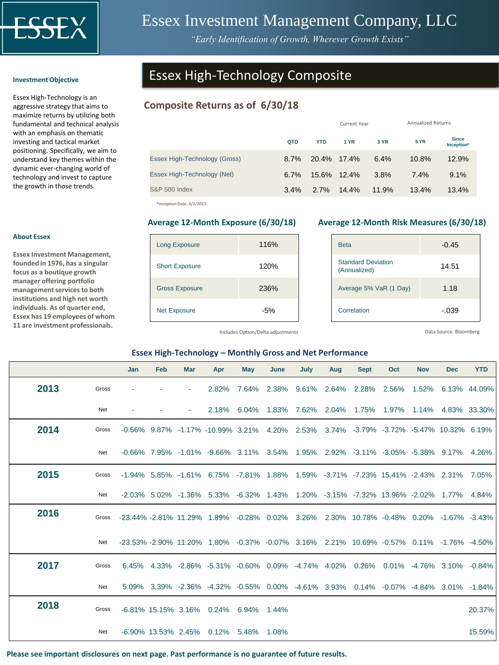

# Essex Investment Management Company, LLC

*"Early Identification of Growth, Wherever Growth Exists"*

#### **Investment Objective**

Essex High-Technology is an aggressive strategy that aims to maximize returns by utilizing both fundamental and technical analysis with an emphasis on thematic investing and tactical market positioning. Specifically, we aim to understand key themes within the dynamic ever-changing world of technology and invest to capture the growth in those trends.

# Essex High-Technology Composite

# **Composite Returns as of 6/30/18**

|         |            |       | <b>Annualized Returns</b>  |              |                            |  |
|---------|------------|-------|----------------------------|--------------|----------------------------|--|
| QTD     | <b>YTD</b> | 1 YR  | 3 YR                       | <b>5 YR</b>  | <b>Since</b><br>Inception* |  |
| 8.7%    |            |       | 6.4%                       | 10.8%        | 12.9%                      |  |
| $6.7\%$ |            |       | 3.8%                       | 7.4%         | 9.1%                       |  |
| 3.4%    | 2.7%       | 14.4% | 11.9%                      | 13.4%        | 13.4%                      |  |
|         |            |       | 20.4% 17.4%<br>15.6% 12.4% | Current Year |                            |  |

\*Inception Date: 4/1/2013

| <b>Long Exposure</b>  | 116% |
|-----------------------|------|
| <b>Short Exposure</b> | 120% |
| <b>Gross Exposure</b> | 236% |
| <b>Net Exposure</b>   | -5%  |

### **Average 12-Month Exposure (6/30/18) Average 12-Month Risk Measures (6/30/18)**

| <b>Beta</b>                               | $-0.45$ |
|-------------------------------------------|---------|
| <b>Standard Deviation</b><br>(Annualized) | 14.51   |
| Average 5% VaR (1 Day)                    | 1.18    |
| Correlation                               | -.039   |

Includes Option/Delta adjustments

Data Source: Bloomberg

### **Essex High-Technology – Monthly Gross and Net Performance**

|      |       | Jan                                                                                    | Feb | <b>Mar</b> | Apr                                                                                                                                  | May   | June  | July        | Aug   | <b>Sept</b> | Oct   | <b>Nov</b> | <b>Dec</b>   | <b>YTD</b>   |
|------|-------|----------------------------------------------------------------------------------------|-----|------------|--------------------------------------------------------------------------------------------------------------------------------------|-------|-------|-------------|-------|-------------|-------|------------|--------------|--------------|
| 2013 | Gross |                                                                                        |     |            | 2.82%                                                                                                                                | 7.64% |       | 2.38% 9.61% |       | 2.64% 2.28% | 2.56% | 1.52%      | 6.13% 44.09% |              |
|      | Net   |                                                                                        |     |            | 2.18%                                                                                                                                | 6.04% | 1.83% | 7.62%       | 2.04% | 1.75%       | 1.97% | 1.14%      |              | 4.83% 33.30% |
| 2014 | Gross |                                                                                        |     |            | $-0.56\%$ 9.87% $-1.17\%$ $-10.99\%$ 3.21% 4.20% 2.53% 3.74% $-3.79\%$ $-3.72\%$ $-5.47\%$ 10.32% 6.19%                              |       |       |             |       |             |       |            |              |              |
|      | Net   |                                                                                        |     |            | $-0.66\%$ 7.95% $-1.01\%$ $-9.66\%$ 3.11% 3.54% 1.95% 2.92% $-3.11\%$ $-3.05\%$ $-5.38\%$ 9.17% 4.26%                                |       |       |             |       |             |       |            |              |              |
| 2015 | Gross |                                                                                        |     |            | -1.94% 5.85% -1.61% 6.75% -7.81% 1.88% 1.59% -3.71% -7.23% 15.41% -2.43% 2.31% 7.05%                                                 |       |       |             |       |             |       |            |              |              |
|      | Net   |                                                                                        |     |            | -2.03% 5.02% -1.36% 5.33% -6.32% 1.43% 1.20% -3.15% -7.32% 13.96% -2.02% 1.77% 4.84%                                                 |       |       |             |       |             |       |            |              |              |
| 2016 | Gross | -23.44% -2.81% 11.29% 1.89% -0.28% 0.02% 3.26% 2.30% 10.78% -0.48% 0.20% -1.67% -3.43% |     |            |                                                                                                                                      |       |       |             |       |             |       |            |              |              |
|      | Net   |                                                                                        |     |            | $-23.53\%$ $-2.90\%$ 11.20 $\%$ 1.80 $\%$ $-0.37\%$ $-0.07\%$ 3.16 $\%$ 2.21 $\%$ 10.69 $\%$ $-0.57\%$ 0.11 $\%$ $-1.76\%$ $-4.50\%$ |       |       |             |       |             |       |            |              |              |
| 2017 | Gross |                                                                                        |     |            | 6.45% 4.33% -2.86% -5.31% -0.60% 0.09% -4.74% 4.02% 0.26% 0.01% -4.76% 3.10% -0.84%                                                  |       |       |             |       |             |       |            |              |              |
|      | Net   |                                                                                        |     |            | 5.09% 3.39% -2.36% -4.32% -0.55% 0.00% -4.61% 3.93% 0.14% -0.07% -4.84% 3.01% -1.84%                                                 |       |       |             |       |             |       |            |              |              |
| 2018 | Gross |                                                                                        |     |            | -6.81% 15.15% 3.16% 0.24% 6.94% 1.44%                                                                                                |       |       |             |       |             |       |            |              | 20.37%       |
|      | Net   |                                                                                        |     |            | -6.90% 13.53% 2.45% 0.12% 5.48% 1.08%                                                                                                |       |       |             |       |             |       |            |              | 15.59%       |

**Please see important disclosures on next page. Past performance is no guarantee of future results.**

# **About Essex**

**Essex Investment Management, founded in 1976, has a singular focus as a boutique growth manager offering portfolio management services to both institutions and high net worth individuals. As of quarter end, Essex has 19 employees of whom 11 are investment professionals.**